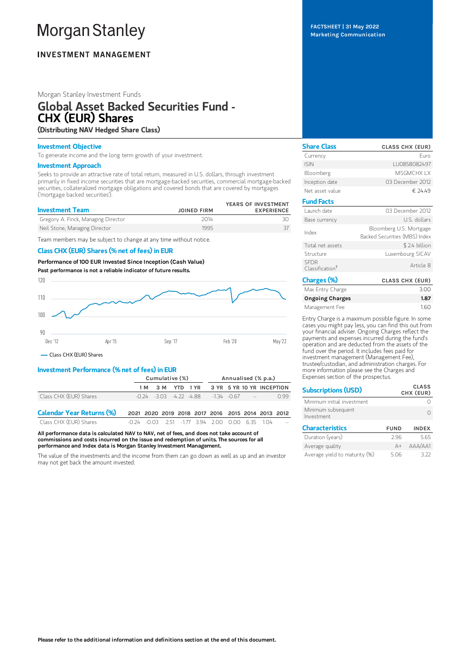# **Morgan Stanley**

## **INVESTMENT MANAGEMENT**

## Morgan Stanley Investment Funds

# Global Asset Backed Securities Fund - CHX (EUR) Shares (Distributing NAV Hedged Share Class)

## Investment Objective

To generate income and the long term growth of your investment.

#### Investment Approach

Seeks to provide an attractive rate of total return, measured in U.S. dollars, through investment primarily in fixed income securities that are mortgage-backed securities, commercial mortgage-backed securities, collateralized mortgage obligations and covered bonds that are covered by mortgages ('mortgage backed securities').

| <b>Investment Team</b>              | <b>JOINED FIRM</b> | YEARS OF INVESTMENT<br><b>EXPERIENCE</b> |
|-------------------------------------|--------------------|------------------------------------------|
| Gregory A. Finck, Managing Director | 2014               |                                          |
| Neil Stone, Managing Director       | 1995               |                                          |

Team members may be subject to change at any time without notice.

## Class CHX (EUR) Shares (% net of fees) in EUR

Performance of 100 EUR Invested Since Inception (Cash Value) Past performance is not a reliable indicator of future results.



## Class CHX (EUR) Shares

## Investment Performance (% net of fees) in EUR

|                                  | Cumulative (%)                                                    |                              |              | Annualised (% p.a.) |                           |  |  |  |      |
|----------------------------------|-------------------------------------------------------------------|------------------------------|--------------|---------------------|---------------------------|--|--|--|------|
|                                  | 1 M                                                               |                              | 3 M YTD 1 YR |                     | 3 YR 5 YR 10 YR INCEPTION |  |  |  |      |
| Class CHX (EUR) Shares           |                                                                   | $-0.24 - 3.03 - 4.22 - 4.88$ |              |                     | $-134 - 067$ -            |  |  |  | 0.99 |
| <b>Calendar Year Returns (%)</b> | 2021 2020 2019 2018 2017 2016 2015 2014 2013 2012                 |                              |              |                     |                           |  |  |  |      |
| Class CHX (EUR) Shares           | $-0.24$ $-0.03$ $2.51$ $-1.77$ $3.94$ $2.00$ $0.00$ $6.35$ $1.04$ |                              |              |                     |                           |  |  |  |      |

All performance data is calculated NAV to NAV, net of fees, and does not take account of commissions and costs incurred on the issue and redemption of units. The sources for all performance and Index data is Morgan Stanley Investment Management.

The value of the investments and the income from them can go down as well as up and an investor may not get back the amount invested.

FACTSHEET | 31 May 2022 Marketing Communication

| <b>Share Class</b>                         | <b>CLASS CHX (EUR)</b>                                   |
|--------------------------------------------|----------------------------------------------------------|
| Currency                                   | Furo                                                     |
| <b>ISIN</b>                                | LU0858082497                                             |
| Bloomberg                                  | MSGMCHX I X                                              |
| Inception date                             | 03 December 2012                                         |
| Net asset value                            | € 24.49                                                  |
| <b>Fund Facts</b>                          |                                                          |
| Launch date                                | 03 December 2012                                         |
| Base currency                              | U.S. dollars                                             |
| Index                                      | Bloomberg U.S. Mortgage<br>Backed Securities (MBS) Index |
| Total net assets                           | \$2.4 billion                                            |
| Structure                                  | Luxembourg SICAV                                         |
| <b>SEDR</b><br>Classification <sup>†</sup> | Article 8                                                |
| Charges (%)                                | <b>CLASS CHX (EUR)</b>                                   |
| Max Entry Charge                           | 3.00                                                     |

| Max Entry Charge       | 3.00 |
|------------------------|------|
| <b>Ongoing Charges</b> | 1.87 |
| Management Fee         | 1.60 |

Entry Charge is a maximum possible figure. In some cases you might pay less, you can find this out from your financial adviser. Ongoing Charges reflect the payments and expenses incurred during the fund's operation and are deducted from the assets of the fund over the period. It includes fees paid for investment management (Management Fee), trustee/custodian, and administration charges. For more information please see the Charges and Expenses section of the prospectus.

| <b>Subscriptions (USD)</b>       |             | <b>CLASS</b><br>CHX (EUR) |
|----------------------------------|-------------|---------------------------|
| Minimum initial investment       |             |                           |
| Minimum subsequent<br>Investment |             |                           |
| <b>Characteristics</b>           | <b>FUND</b> | <b>INDEX</b>              |
| Duration (years)                 | 296         | 5.65                      |
| Average quality                  | $A+$        | AAA/AA1                   |
| Average yield to maturity (%)    | 5.06        | 3.22                      |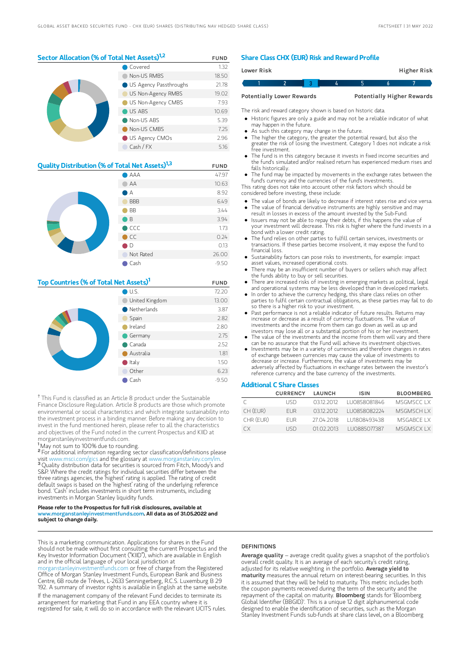## Sector Allocation (% of Total Net Assets)<sup>1,2</sup> FUND

| Covered                         | 1.32  |
|---------------------------------|-------|
| Non-US RMBS                     | 18.50 |
| <b>O</b> US Agency Passthroughs | 21.78 |
| US Non-Agency RMBS              | 19.02 |
| US Non-Agency CMBS              | 7.93  |
| US ABS                          | 10.69 |
| Non-US ABS                      | 5.39  |
| Non-US CMBS                     | 7.25  |
| US Agency CMOs                  | 2.96  |
| Cash / FX                       | 5.16  |

| <b>Quality Distribution (% of Total Net Assets)</b> <sup>1,3</sup> |                | <b>FUND</b> |
|--------------------------------------------------------------------|----------------|-------------|
|                                                                    | AAA            | 47.97       |
|                                                                    | AA             | 10.63       |
|                                                                    | A              | 8.92        |
|                                                                    | <b>BBB</b>     | 6.49        |
|                                                                    | <b>BB</b>      | 3.44        |
|                                                                    | B              | 3.94        |
|                                                                    | $\bigcirc$ CCC | 1.73        |
|                                                                    | $\bigcirc$ CC  | 0.24        |
|                                                                    | D              | 0.13        |
|                                                                    | Not Rated      | 26.00       |
|                                                                    | Cash           | $-9.50$     |

## Top Countries (% of Total Net Assets)<sup>1</sup> FUND

|  | $\bigcirc$ U.S.       | 72.20   |
|--|-----------------------|---------|
|  | United Kingdom        | 13.00   |
|  | $\bullet$ Netherlands | 3.87    |
|  | Spain                 | 2.82    |
|  | Ireland               | 2.80    |
|  | Germany               | 2.75    |
|  | $\bullet$ Canada      | 2.52    |
|  | Australia             | 1.81    |
|  | $\bullet$ Italy       | 1.50    |
|  | Other                 | 6.23    |
|  | Cash                  | $-9.50$ |

<sup>†</sup> This Fund is classified as an Article 8 product under the Sustainable Finance Disclosure Regulation. Article 8 products are those which promote environmental or social characteristics and which integrate sustainability into the investment process in a binding manner. Before making any decision to invest in the fund mentioned herein, please refer to all the characteristics and objectives of the Fund noted in the current Prospectus and KIID at morganstanleyinvestmentfunds.com.

<sup>1</sup>May not sum to 100% due to rounding.

<sup>2</sup> For additional information regarding sector classification/definitions please visit www.msci.com/gics and the glossary at www.morganstanley.com/im. <sup>3</sup> Quality distribution data for securities is sourced from Fitch, Moody's and S&P. Where the credit ratings for individual securities differ between the three ratings agencies, the 'highest' rating is applied. The rating of credit default swaps is based on the 'highest' rating of the underlying reference bond. 'Cash' includes investments in short term instruments, including investments in Morgan Stanley liquidity funds.

#### Please refer to the Prospectus for full risk disclosures, available at www.morganstanleyinvestmentfunds.com. All data as of 31.05.2022 and subject to change daily.

This is a marketing communication. Applications for shares in the Fund should not be made without first consulting the current Prospectus and the Key Investor Information Document ("KIID"), which are available in English and in the official language of your local jurisdiction at

eyinvestmentfunds.com or free of charge from the Registered Office of Morgan Stanley Investment Funds, European Bank and Business Centre, 6B route de Trèves, L-2633 Senningerberg, R.C.S. Luxemburg B 29 192. A summary of investor rights is available in English at the same website. If the management company of the relevant Fund decides to terminate its arrangement for marketing that Fund in any EEA country where it is registered for sale, it will do so in accordance with the relevant UCITS rules.

## Share Class CHX (EUR) Risk and Reward Profile

| <b>Lower Risk</b> |                                  |  |  | Higher Risk                       |  |
|-------------------|----------------------------------|--|--|-----------------------------------|--|
|                   |                                  |  |  |                                   |  |
|                   | <b>Potentially Lower Rewards</b> |  |  | <b>Potentially Higher Rewards</b> |  |

The risk and reward category shown is based on historic data.

Historic figures are only a guide and may not be a reliable indicator of what may happen in the future.

- As such this category may change in the future.
- The higher the category, the greater the potential reward, but also the greater the risk of losing the investment. Category 1 does not indicate a risk free investment.
- The fund is in this category because it invests in fixed income securities and the fund's simulated and/or realised return has experienced medium rises and falls historically.
- The fund may be impacted by movements in the exchange rates between the fund's currency and the currencies of the fund's investments.

This rating does not take into account other risk factors which should be considered before investing, these include:

- The value of bonds are likely to decrease if interest rates rise and vice versa. The value of financial derivative instruments are highly sensitive and may
- result in losses in excess of the amount invested by the Sub-Fund. Issuers may not be able to repay their debts, if this happens the value of
- your investment will decrease. This risk is higher where the fund invests in a bond with a lower credit rating.
- The fund relies on other parties to fulfill certain services, investments or transactions. If these parties become insolvent, it may expose the fund to financial loss.
- Sustainability factors can pose risks to investments, for example: impact asset values, increased operational costs.
- There may be an insufficient number of buyers or sellers which may affect the funds ability to buy or sell securities.
- There are increased risks of investing in emerging markets as political, legal and operational systems may be less developed than in developed markets.
- In order to achieve the currency hedging, this share class relies on other parties to fulfil certain contractual obligations, as these parties may fail to do so there is a higher risk to your investment.
- Past performance is not a reliable indicator of future results. Returns may increase or decrease as a result of currency fluctuations. The value of investments and the income from them can go down as well as up and investors may lose all or a substantial portion of his or her investment.
- The value of the investments and the income from them will vary and there
- can be no assurance that the Fund will achieve its investment objectives. Investments may be in a variety of currencies and therefore changes in rates of exchange between currencies may cause the value of investments to decrease or increase. Furthermore, the value of investments may be adversely affected by fluctuations in exchange rates between the investor's reference currency and the base currency of the investments.

## Additional C Share Classes

|           | <b>CURRENCY</b> | LAUNCH     | ISIN         | <b>BLOOMBERG</b> |
|-----------|-----------------|------------|--------------|------------------|
|           | LISD            | 03122012   | LU0858081846 | MSGMSCC LX       |
| CH (EUR)  | <b>FUR</b>      | 03122012   | LU0858082224 | <b>MSGMSCHIX</b> |
| CHR (EUR) | FI IR.          | 27 04 2018 | 111808493438 | MSGABCE LX       |
| ΓX        | I ISD.          | 01 02 2013 | LU0885077387 | <b>MSGMSCXIX</b> |

## **DEFINITIONS**

Average quality – average credit quality gives a snapshot of the portfolio's overall credit quality. It is an average of each security's credit rating, adjusted for its relative weighting in the portfolio. Average vield to maturity measures the annual return on interest-bearing securities. In this it is assumed that they will be held to maturity. This metric includes both the coupon payments received during the term of the security and the<br>repayment of the capital on maturity. **BIoomberg** stands for 'Bloomberg Global Identifier (BBGID)'. This is a unique 12 digit alphanumerical code designed to enable the identification of securities, such as the Morgan Stanley Investment Funds sub-funds at share class level, on a Bloomberg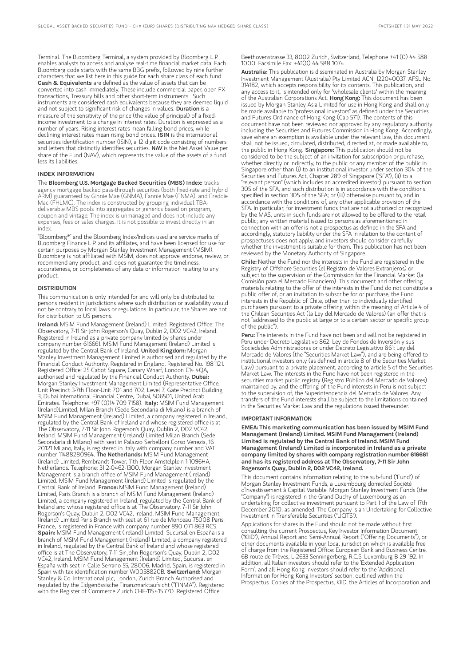Terminal. The Bloomberg Terminal, a system provided by Bloomberg L.P., enables analysts to access and analyse real-time financial market data. Each Bloomberg code starts with the same BBG prefix, followed by nine further characters that we list here in this guide for each share class of each fund. Cash & Equivalents are defined as the value of assets that can be converted into cash immediately. These include commercial paper, open FX transactions, Treasury bills and other short-term instruments. Such instruments are considered cash equivalents because they are deemed liquid and not subject to significant risk of changes in values. Duration is a measure of the sensitivity of the price (the value of principal) of a fixedincome investment to a change in interest rates. Duration is expressed as a number of years. Rising interest rates mean falling bond prices, while declining interest rates mean rising bond prices. ISIN is the international securities identification number (ISIN), a 12 digit code consisting of numbers and letters that distinctly identifies securities. NAV is the Net Asset Value per share of the Fund (NAV), which represents the value of the assets of a fund less its liabilities.

#### INDEX INFORMATION

The Bloomberg U.S. Mortgage Backed Securities (MBS) Index: tracks agency mortgage backed pass-through securities (both fixed-rate and hybrid ARM) guaranteed by Ginnie Mae (GNMA), Fannie Mae (FNMA), and Freddie Mac (FHLMC). The index is constructed by grouping individual TBAdeliverable MBS pools into aggregates or generics based on program, coupon and vintage. The index is unmanaged and does not include any expenses, fees or sales charges. It is not possible to invest directly in an index.

"Bloomberg®" and the Bloomberg Index/Indices used are service marks of Bloomberg Finance L.P. and its affiliates, and have been licensed for use for certain purposes by Morgan Stanley Investment Management (MSIM). Bloomberg is not affiliated with MSIM, does not approve, endorse, review, or recommend any product, and. does not guarantee the timeliness, accurateness, or completeness of any data or information relating to any product.

#### **DISTRIBUTION**

This communication is only intended for and will only be distributed to persons resident in jurisdictions where such distribution or availability would not be contrary to local laws or regulations. In particular, the Shares are not for distribution to US persons.

Ireland: MSIM Fund Management (Ireland) Limited. Registered Office: The Observatory, 7-11 Sir John Rogerson's Quay, Dublin 2, D02 VC42, Ireland. Registered in Ireland as a private company limited by shares under company number 616661. MSIM Fund Management (Ireland) Limited is regulated by the Central Bank of Ireland. United Kingdom: Morgan Stanley Investment Management Limited is authorised and regulated by the Financial Conduct Authority. Registered in England. Registered No. 1981121. Registered Office: 25 Cabot Square, Canary Wharf, London E14 4QA, authorised and regulated by the Financial Conduct Authority. Dubai: Morgan Stanley Investment Management Limited (Representative Office, Unit Precinct 3-7th Floor-Unit 701 and 702, Level 7, Gate Precinct Building 3, Dubai International Financial Centre, Dubai, 506501, United Arab Emirates. Telephone: +97 (0)14 709 7158). Italy: MSIM Fund Management (Ireland)Limited, Milan Branch (Sede Secondaria di Milano) is a branch of MSIM Fund Management (Ireland) Limited, a company registered in Ireland, regulated by the Central Bank of Ireland and whose registered office is at The Observatory, 7-11 Sir John Rogerson's Quay, Dublin 2, D02 VC42, Ireland. MSIM Fund Management (Ireland) Limited Milan Branch (Sede Secondaria di Milano) with seat in Palazzo Serbelloni Corso Venezia, 16 20121 Milano, Italy, is registered in Italy with company number and VAT<br>number 11488280964. **The Netherlands:** MSIM Fund Management (Ireland) Limited, Rembrandt Tower, 11th Floor Amstelplein 1 1096HA, Netherlands. Telephone: 31 2-0462-1300. Morgan Stanley Investment Management is a branch office of MSIM Fund Management (Ireland) Limited. MSIM Fund Management (Ireland) Limited is regulated by the<br>Central Bank of Ireland. **France:** MSIM Fund Management (Ireland) Limited, Paris Branch is a branch of MSIM Fund Management (Ireland) Limited, a company registered in Ireland, regulated by the Central Bank of Ireland and whose registered office is at The Observatory, 7-11 Sir John Rogerson's Quay, Dublin 2, D02 VC42, Ireland. MSIM Fund Management (Ireland) Limited Paris Branch with seat at 61 rue de Monceau 75008 Paris, France, is registered in France with company number 890 071 863 RCS. Spain: MSIM Fund Management (Ireland) Limited, Sucursal en España is a branch of MSIM Fund Management (Ireland) Limited, a company registered in Ireland, regulated by the Central Bank of Ireland and whose registered office is at The Observatory, 7-11 Sir John Rogerson's Quay, Dublin 2, D02 VC42, Ireland. MSIM Fund Management (Ireland) Limited, Sucursal en España with seat in Calle Serrano 55, 28006, Madrid, Spain, is registered in Spain with tax identification number W0058820B. Switzerland: Morgan Stanley & Co. International plc, London, Zurich Branch Authorised and regulated by the Eidgenössische Finanzmarktaufsicht ("FINMA"). Registered with the Register of Commerce Zurich CHE-115.415.770. Registered Office:

Beethovenstrasse 33, 8002 Zurich, Switzerland, Telephone +41 (0) 44 588 1000. Facsimile Fax: +41(0) 44 588 1074.

Australia: This publication is disseminated in Australia by Morgan Stanley Investment Management (Australia) Pty Limited ACN: 122040037, AFSL No. 314182, which accepts responsibility for its contents. This publication, and any access to it, is intended only for "wholesale clients" within the meaning of the Australian Corporations Act. Hong Kong: This document has been issued by Morgan Stanley Asia Limited for use in Hong Kong and shall only be made available to "professional investors" as defined under the Securities and Futures Ordinance of Hong Kong (Cap 571). The contents of this document have not been reviewed nor approved by any regulatory authority including the Securities and Futures Commission in Hong Kong. Accordingly, save where an exemption is available under the relevant law, this document shall not be issued, circulated, distributed, directed at, or made available to, the public in Hong Kong. Singapore: This publication should not be considered to be the subject of an invitation for subscription or purchase, whether directly or indirectly, to the public or any member of the public in Singapore other than (i) to an institutional investor under section 304 of the Securities and Futures Act, Chapter 289 of Singapore ("SFA"), (ii) to a "relevant person" (which includes an accredited investor) pursuant to section 305 of the SFA, and such distribution is in accordance with the conditions specified in section 305 of the SFA; or (iii) otherwise pursuant to, and in accordance with the conditions of, any other applicable provision of the SFA. In particular, for investment funds that are not authorized or recognized by the MAS, units in such funds are not allowed to be offered to the retail public; any written material issued to persons as aforementioned in connection with an offer is not a prospectus as defined in the SFA and, accordingly, statutory liability under the SFA in relation to the content of prospectuses does not apply, and investors should consider carefully whether the investment is suitable for them. This publication has not been reviewed by the Monetary Authority of Singapore.

Chile: Neither the Fund nor the interests in the Fund are registered in the Registry of Offshore Securities (el Registro de Valores Extranjeros) or subject to the supervision of the Commission for the Financial Market (la Comisión para el Mercado Financiero). This document and other offering materials relating to the offer of the interests in the Fund do not constitute a public offer of, or an invitation to subscribe for or purchase, the Fund interests in the Republic of Chile, other than to individually identified purchasers pursuant to a private offering within the meaning of Article 4 of the Chilean Securities Act (la Ley del Mercado de Valores) (an offer that is not "addressed to the public at large or to a certain sector or specific group of the public").

Peru: The interests in the Fund have not been and will not be registered in Peru under Decreto Legislativo 862: Ley de Fondos de Inversión y sus Sociedades Administradoras or under Decreto Legislativo 861: Ley del Mercado de Valores (the "Securities Market Law"), and are being offered to institutional investors only (as defined in article 8 of the Securities Market Law) pursuant to a private placement, according to article 5 of the Securities Market Law. The interests in the Fund have not been registered in the securities market public registry (Registro Público del Mercado de Valores) maintained by, and the offering of the Fund interests in Peru is not subject to the supervision of, the Superintendencia del Mercado de Valores. Any transfers of the Fund interests shall be subject to the limitations contained in the Securities Market Law and the regulations issued thereunder.

#### IMPORTANT INFORMATION

EMEA: This marketing communication has been issued by MSIM Fund Management (Ireland) Limited. MSIM Fund Management (Ireland) Limited is regulated by the Central Bank of Ireland. MSIM Fund Management (Ireland) Limited is incorporated in Ireland as a private company limited by shares with company registration number 616661 and has its registered address at The Observatory, 7-11 Sir John Rogerson's Quay, Dublin 2, D02 VC42, Ireland.

This document contains information relating to the sub-fund ("Fund") of Morgan Stanley Investment Funds, a Luxembourg domiciled Société d'Investissement à Capital Variable. Morgan Stanley Investment Funds (the "Company") is registered in the Grand Duchy of Luxembourg as an undertaking for collective investment pursuant to Part 1 of the Law of 17th December 2010, as amended. The Company is an Undertaking for Collective Investment in Transferable Securities ("UCITS").

Applications for shares in the Fund should not be made without first consulting the current Prospectus, Key Investor Information Document ("KIID"), Annual Report and Semi-Annual Report ("Offering Documents"), or other documents available in your local jurisdiction which is available free of charge from the Registered Office: European Bank and Business Centre, 6B route de Trèves, L-2633 Senningerberg, R.C.S. Luxemburg B 29 192. In addition, all Italian investors should refer to the 'Extended Application Form', and all Hong Kong investors should refer to the 'Additional Information for Hong Kong Investors' section, outlined within the Prospectus. Copies of the Prospectus, KIID, the Articles of Incorporation and